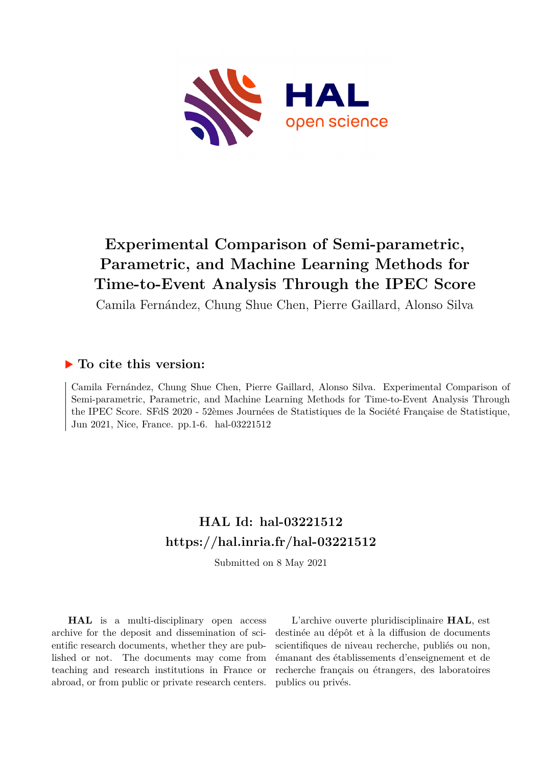

# **Experimental Comparison of Semi-parametric, Parametric, and Machine Learning Methods for Time-to-Event Analysis Through the IPEC Score**

Camila Fernández, Chung Shue Chen, Pierre Gaillard, Alonso Silva

#### **To cite this version:**

Camila Fernández, Chung Shue Chen, Pierre Gaillard, Alonso Silva. Experimental Comparison of Semi-parametric, Parametric, and Machine Learning Methods for Time-to-Event Analysis Through the IPEC Score. SFdS 2020 - 52èmes Journées de Statistiques de la Société Française de Statistique, Jun 2021, Nice, France. pp.1-6. hal-03221512

## **HAL Id: hal-03221512 <https://hal.inria.fr/hal-03221512>**

Submitted on 8 May 2021

**HAL** is a multi-disciplinary open access archive for the deposit and dissemination of scientific research documents, whether they are published or not. The documents may come from teaching and research institutions in France or abroad, or from public or private research centers.

L'archive ouverte pluridisciplinaire **HAL**, est destinée au dépôt et à la diffusion de documents scientifiques de niveau recherche, publiés ou non, émanant des établissements d'enseignement et de recherche français ou étrangers, des laboratoires publics ou privés.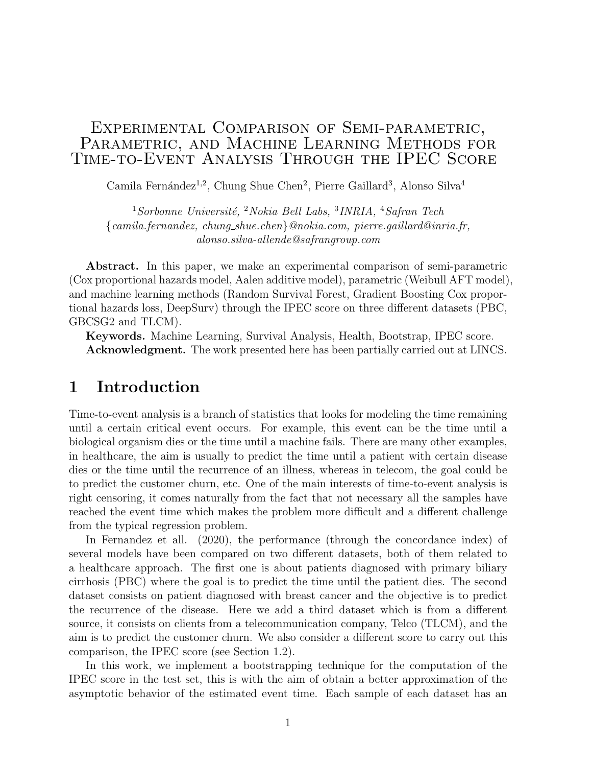#### Experimental Comparison of Semi-parametric, PARAMETRIC, AND MACHINE LEARNING METHODS FOR Time-to-Event Analysis Through the IPEC Score

Camila Fernández<sup>1,2</sup>, Chung Shue Chen<sup>2</sup>, Pierre Gaillard<sup>3</sup>, Alonso Silva<sup>4</sup>

 $1$ Sorbonne Université, <sup>2</sup>Nokia Bell Labs, <sup>3</sup>INRIA, <sup>4</sup>Safran Tech {camila.fernandez, chung shue.chen}@nokia.com, pierre.gaillard@inria.fr, alonso.silva-allende@safrangroup.com

Abstract. In this paper, we make an experimental comparison of semi-parametric (Cox proportional hazards model, Aalen additive model), parametric (Weibull AFT model), and machine learning methods (Random Survival Forest, Gradient Boosting Cox proportional hazards loss, DeepSurv) through the IPEC score on three different datasets (PBC, GBCSG2 and TLCM).

Keywords. Machine Learning, Survival Analysis, Health, Bootstrap, IPEC score. Acknowledgment. The work presented here has been partially carried out at LINCS.

### 1 Introduction

Time-to-event analysis is a branch of statistics that looks for modeling the time remaining until a certain critical event occurs. For example, this event can be the time until a biological organism dies or the time until a machine fails. There are many other examples, in healthcare, the aim is usually to predict the time until a patient with certain disease dies or the time until the recurrence of an illness, whereas in telecom, the goal could be to predict the customer churn, etc. One of the main interests of time-to-event analysis is right censoring, it comes naturally from the fact that not necessary all the samples have reached the event time which makes the problem more difficult and a different challenge from the typical regression problem.

In Fernandez et all. (2020), the performance (through the concordance index) of several models have been compared on two different datasets, both of them related to a healthcare approach. The first one is about patients diagnosed with primary biliary cirrhosis (PBC) where the goal is to predict the time until the patient dies. The second dataset consists on patient diagnosed with breast cancer and the objective is to predict the recurrence of the disease. Here we add a third dataset which is from a different source, it consists on clients from a telecommunication company, Telco (TLCM), and the aim is to predict the customer churn. We also consider a different score to carry out this comparison, the IPEC score (see Section 1.2).

In this work, we implement a bootstrapping technique for the computation of the IPEC score in the test set, this is with the aim of obtain a better approximation of the asymptotic behavior of the estimated event time. Each sample of each dataset has an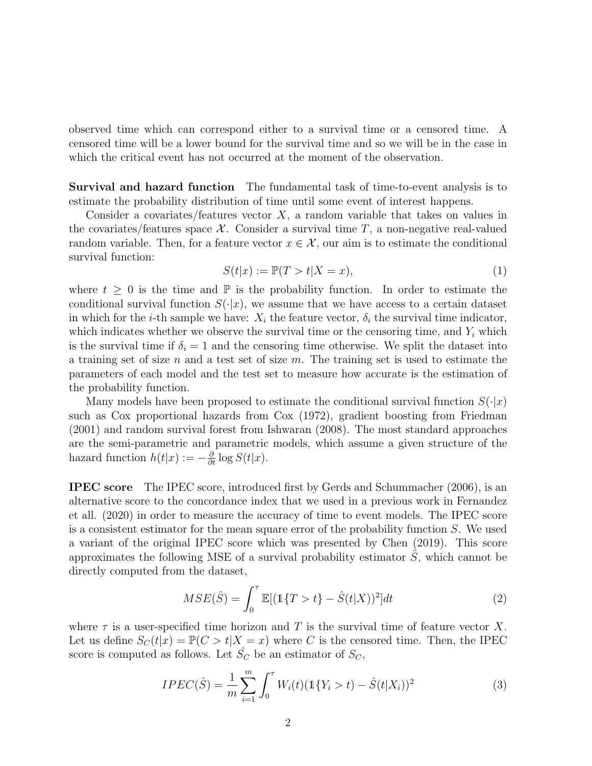observed time which can correspond either to a survival time or a censored time. A censored time will be a lower bound for the survival time and so we will be in the case in which the critical event has not occurred at the moment of the observation.

Survival and hazard function The fundamental task of time-to-event analysis is to estimate the probability distribution of time until some event of interest happens.

Consider a covariates/features vector  $X$ , a random variable that takes on values in the covariates/features space  $\mathcal{X}$ . Consider a survival time T, a non-negative real-valued random variable. Then, for a feature vector  $x \in \mathcal{X}$ , our aim is to estimate the conditional survival function:

$$
S(t|x) := \mathbb{P}(T > t | X = x),\tag{1}
$$

where  $t \geq 0$  is the time and  $\mathbb P$  is the probability function. In order to estimate the conditional survival function  $S(\cdot|x)$ , we assume that we have access to a certain dataset in which for the *i*-th sample we have:  $X_i$  the feature vector,  $\delta_i$  the survival time indicator, which indicates whether we observe the survival time or the censoring time, and  $Y_i$  which is the survival time if  $\delta_i = 1$  and the censoring time otherwise. We split the dataset into a training set of size n and a test set of size  $m$ . The training set is used to estimate the parameters of each model and the test set to measure how accurate is the estimation of the probability function.

Many models have been proposed to estimate the conditional survival function  $S(\cdot|x)$ such as Cox proportional hazards from Cox (1972), gradient boosting from Friedman (2001) and random survival forest from Ishwaran (2008). The most standard approaches are the semi-parametric and parametric models, which assume a given structure of the hazard function  $h(t|x) := -\frac{\partial}{\partial t} \log S(t|x)$ .

IPEC score The IPEC score, introduced first by Gerds and Schummacher (2006), is an alternative score to the concordance index that we used in a previous work in Fernandez et all. (2020) in order to measure the accuracy of time to event models. The IPEC score is a consistent estimator for the mean square error of the probability function S. We used a variant of the original IPEC score which was presented by Chen (2019). This score approximates the following MSE of a survival probability estimator  $S$ , which cannot be directly computed from the dataset,

$$
MSE(\hat{S}) = \int_0^\tau \mathbb{E}[(1\{T > t\} - \hat{S}(t|X))^2]dt
$$
 (2)

where  $\tau$  is a user-specified time horizon and T is the survival time of feature vector X. Let us define  $S_C(t|x) = \mathbb{P}(C > t | X = x)$  where C is the censored time. Then, the IPEC score is computed as follows. Let  $\hat{S}_C$  be an estimator of  $S_C$ ,

$$
IPEC(\hat{S}) = \frac{1}{m} \sum_{i=1}^{m} \int_{0}^{\tau} W_i(t) (\mathbb{1}\{Y_i > t) - \hat{S}(t|X_i))^2
$$
(3)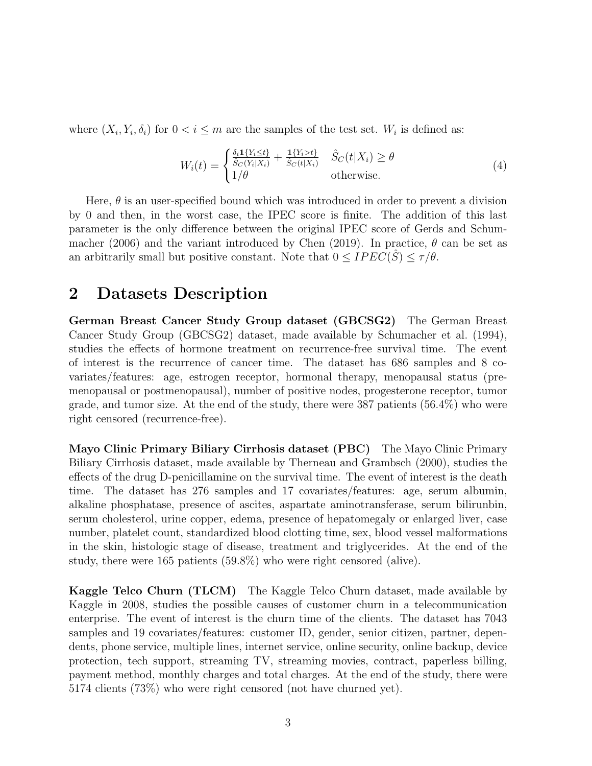where  $(X_i, Y_i, \delta_i)$  for  $0 < i \leq m$  are the samples of the test set.  $W_i$  is defined as:

$$
W_i(t) = \begin{cases} \frac{\delta_i \mathbb{1}\{Y_i \le t\}}{\hat{S}_C(Y_i | X_i)} + \frac{\mathbb{1}\{Y_i > t\}}{\hat{S}_C(t | X_i)} & \hat{S}_C(t | X_i) \ge \theta\\ 1/\theta & \text{otherwise.} \end{cases}
$$
(4)

Here,  $\theta$  is an user-specified bound which was introduced in order to prevent a division by 0 and then, in the worst case, the IPEC score is finite. The addition of this last parameter is the only difference between the original IPEC score of Gerds and Schummacher (2006) and the variant introduced by Chen (2019). In practice,  $\theta$  can be set as an arbitrarily small but positive constant. Note that  $0 \leq IPEC(\hat{S}) \leq \tau/\theta$ .

#### 2 Datasets Description

German Breast Cancer Study Group dataset (GBCSG2) The German Breast Cancer Study Group (GBCSG2) dataset, made available by Schumacher et al. (1994), studies the effects of hormone treatment on recurrence-free survival time. The event of interest is the recurrence of cancer time. The dataset has 686 samples and 8 covariates/features: age, estrogen receptor, hormonal therapy, menopausal status (premenopausal or postmenopausal), number of positive nodes, progesterone receptor, tumor grade, and tumor size. At the end of the study, there were 387 patients (56.4%) who were right censored (recurrence-free).

Mayo Clinic Primary Biliary Cirrhosis dataset (PBC) The Mayo Clinic Primary Biliary Cirrhosis dataset, made available by Therneau and Grambsch (2000), studies the effects of the drug D-penicillamine on the survival time. The event of interest is the death time. The dataset has 276 samples and 17 covariates/features: age, serum albumin, alkaline phosphatase, presence of ascites, aspartate aminotransferase, serum bilirunbin, serum cholesterol, urine copper, edema, presence of hepatomegaly or enlarged liver, case number, platelet count, standardized blood clotting time, sex, blood vessel malformations in the skin, histologic stage of disease, treatment and triglycerides. At the end of the study, there were 165 patients (59.8%) who were right censored (alive).

Kaggle Telco Churn (TLCM) The Kaggle Telco Churn dataset, made available by Kaggle in 2008, studies the possible causes of customer churn in a telecommunication enterprise. The event of interest is the churn time of the clients. The dataset has 7043 samples and 19 covariates/features: customer ID, gender, senior citizen, partner, dependents, phone service, multiple lines, internet service, online security, online backup, device protection, tech support, streaming TV, streaming movies, contract, paperless billing, payment method, monthly charges and total charges. At the end of the study, there were 5174 clients (73%) who were right censored (not have churned yet).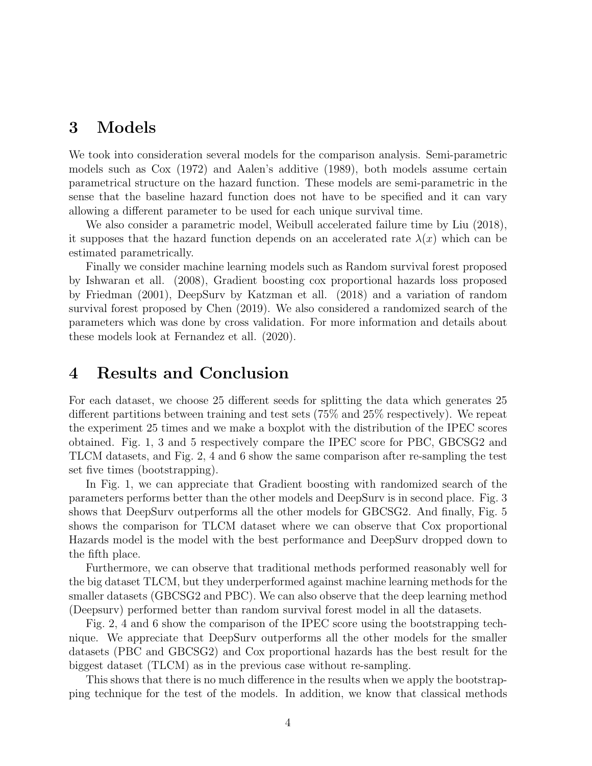## 3 Models

We took into consideration several models for the comparison analysis. Semi-parametric models such as Cox (1972) and Aalen's additive (1989), both models assume certain parametrical structure on the hazard function. These models are semi-parametric in the sense that the baseline hazard function does not have to be specified and it can vary allowing a different parameter to be used for each unique survival time.

We also consider a parametric model, Weibull accelerated failure time by Liu (2018), it supposes that the hazard function depends on an accelerated rate  $\lambda(x)$  which can be estimated parametrically.

Finally we consider machine learning models such as Random survival forest proposed by Ishwaran et all. (2008), Gradient boosting cox proportional hazards loss proposed by Friedman (2001), DeepSurv by Katzman et all. (2018) and a variation of random survival forest proposed by Chen (2019). We also considered a randomized search of the parameters which was done by cross validation. For more information and details about these models look at Fernandez et all. (2020).

#### 4 Results and Conclusion

For each dataset, we choose 25 different seeds for splitting the data which generates 25 different partitions between training and test sets (75% and 25% respectively). We repeat the experiment 25 times and we make a boxplot with the distribution of the IPEC scores obtained. Fig. 1, 3 and 5 respectively compare the IPEC score for PBC, GBCSG2 and TLCM datasets, and Fig. 2, 4 and 6 show the same comparison after re-sampling the test set five times (bootstrapping).

In Fig. 1, we can appreciate that Gradient boosting with randomized search of the parameters performs better than the other models and DeepSurv is in second place. Fig. 3 shows that DeepSurv outperforms all the other models for GBCSG2. And finally, Fig. 5 shows the comparison for TLCM dataset where we can observe that Cox proportional Hazards model is the model with the best performance and DeepSurv dropped down to the fifth place.

Furthermore, we can observe that traditional methods performed reasonably well for the big dataset TLCM, but they underperformed against machine learning methods for the smaller datasets (GBCSG2 and PBC). We can also observe that the deep learning method (Deepsurv) performed better than random survival forest model in all the datasets.

Fig. 2, 4 and 6 show the comparison of the IPEC score using the bootstrapping technique. We appreciate that DeepSurv outperforms all the other models for the smaller datasets (PBC and GBCSG2) and Cox proportional hazards has the best result for the biggest dataset (TLCM) as in the previous case without re-sampling.

This shows that there is no much difference in the results when we apply the bootstrapping technique for the test of the models. In addition, we know that classical methods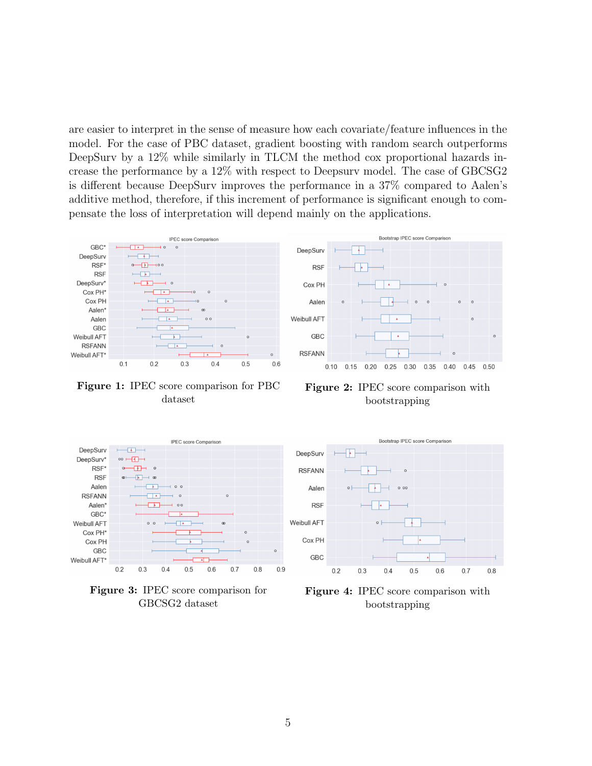are easier to interpret in the sense of measure how each covariate/feature influences in the model. For the case of PBC dataset, gradient boosting with random search outperforms DeepSurv by a 12\% while similarly in TLCM the method cox proportional hazards increase the performance by a 12% with respect to Deepsurv model. The case of GBCSG2 is different because DeepSurv improves the performance in a 37% compared to Aalen's additive method, therefore, if this increment of performance is significant enough to compensate the loss of interpretation will depend mainly on the applications.



Figure 1: IPEC score comparison for PBC dataset









Figure 4: IPEC score comparison with bootstrapping